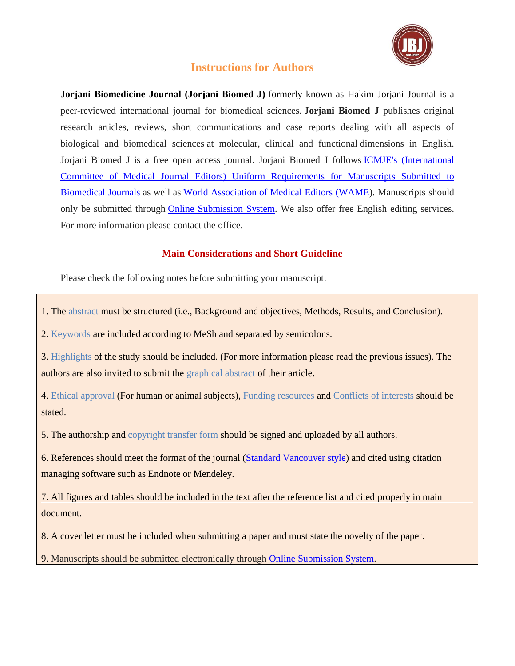

# **Instructions for Authors**

**Jorjani Biomedicine Journal (Jorjani Biomed J)***-*formerly known as Hakim Jorjani Journal is a peer-reviewed international journal for biomedical sciences. **Jorjani Biomed J** publishes original research articles, reviews, short communications and case reports dealing with all aspects of biological and biomedical sciences at molecular, clinical and functional dimensions in English. Jorjani Biomed J is a free open access journal. Jorjani Biomed J follows ICMJE's [\(International](http://www.icmje.org/) Committee of Medical Journal Editors) Uniform [Requirements](http://www.icmje.org/) for Manuscripts Submitted to [Biomedical](http://www.icmje.org/) Journals as well as World [Association](http://www.wame.org/) of Medical Editors (WAME). Manuscripts should only be submitted through **Online [Submission](http://jorjanijournal.goums.ac.ir/form_send_article.php?&slct_pg_id=22&sid=1&slc_lang=en) System**. We also offer free English editing services. For more information please contact the office.

# **Main Considerations and Short Guideline**

Please check the following notes before submitting your manuscript:

1. The abstract must be structured (i.e., Background and objectives, Methods, Results, and Conclusion).

2. Keywords are included according to MeSh and separated by semicolons.

3. Highlights of the study should be included. (For more information please read the previous issues). The authors are also invited to submit the graphical abstract of their article.

4. Ethical approval (For human or animal subjects), Funding resources and Conflicts of interests should be stated.

5. The authorship and copyright transfer form should be signed and uploaded by all authors.

6. References should meet the format of the journal [\(Standard Vancouver style\)](https://endnote.com/style_download/vancouver/) and cited using citation managing software such as Endnote or Mendeley.

7. All figures and tables should be included in the text after the reference list and cited properly in main document.

8. A cover letter must be included when submitting a paper and must state the novelty of the paper.

9. Manuscripts should be submitted electronically through Online [Submission](http://jorjanijournal.goums.ac.ir/form_send_article.php?&slct_pg_id=22&sid=1&slc_lang=en) System.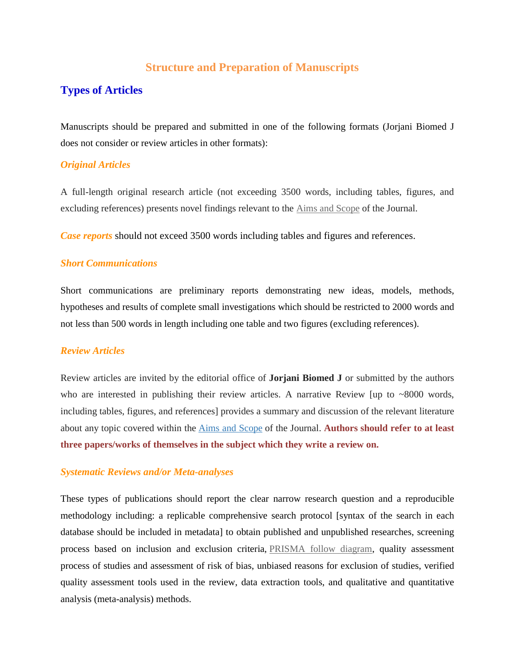# **Structure and Preparation of Manuscripts**

# **Types of Articles**

Manuscripts should be prepared and submitted in one of the following formats (Jorjani Biomed J does not consider or review articles in other formats):

## *Original Articles*

A full-length original research article (not exceeding 3500 words, including tables, figures, and excluding references) presents novel findings relevant to the Aims and [Scope](http://jorjanijournal.goums.ac.ir/page/14/Aims-YW_AND-amp;-Scopes) of the Journal.

*Case reports* should not exceed 3500 words including tables and figures and references.

## *Short Communications*

Short communications are preliminary reports demonstrating new ideas, models, methods, hypotheses and results of complete small investigations which should be restricted to 2000 words and not less than 500 words in length including one table and two figures (excluding references).

### *Review Articles*

Review articles are invited by the editorial office of **Jorjani Biomed J** or submitted by the authors who are interested in publishing their review articles. A narrative Review [up to  $\sim 8000$  words, including tables, figures, and references] provides a summary and discussion of the relevant literature about any topic covered within the Aims and [Scope](http://jorjanijournal.goums.ac.ir/page/14/Aims-YW_AND-amp;-Scopes) of the Journal. **Authors should refer to at least three papers/works of themselves in the subject which they write a review on.**

### *Systematic Reviews and/or Meta-analyses*

These types of publications should report the clear narrow research question and a reproducible methodology including: a replicable comprehensive search protocol [syntax of the search in each database should be included in metadata] to obtain published and unpublished researches, screening process based on inclusion and exclusion criteria, [PRISMA](http://www.prisma-statement.org/PRISMAStatement/FlowDiagram.aspx) follow diagram, quality assessment process of studies and assessment of risk of bias, unbiased reasons for exclusion of studies, verified quality assessment tools used in the review, data extraction tools, and qualitative and quantitative analysis (meta-analysis) methods.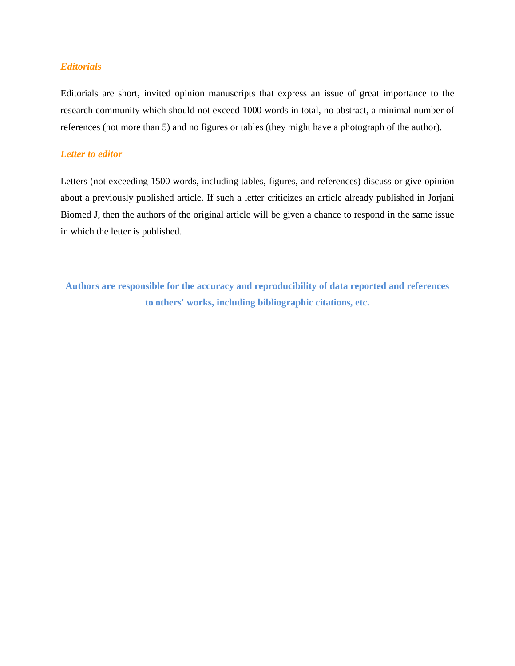# *Editorials*

Editorials are short, invited opinion manuscripts that express an issue of great importance to the research community which should not exceed 1000 words in total, no abstract, a minimal number of references (not more than 5) and no figures or tables (they might have a photograph of the author).

# *Letter to editor*

Letters (not exceeding 1500 words, including tables, figures, and references) discuss or give opinion about a previously published article. If such a letter criticizes an article already published in Jorjani Biomed J, then the authors of the original article will be given a chance to respond in the same issue in which the letter is published.

**Authors are responsible for the accuracy and reproducibility of data reported and references to others' works, including bibliographic citations, etc.**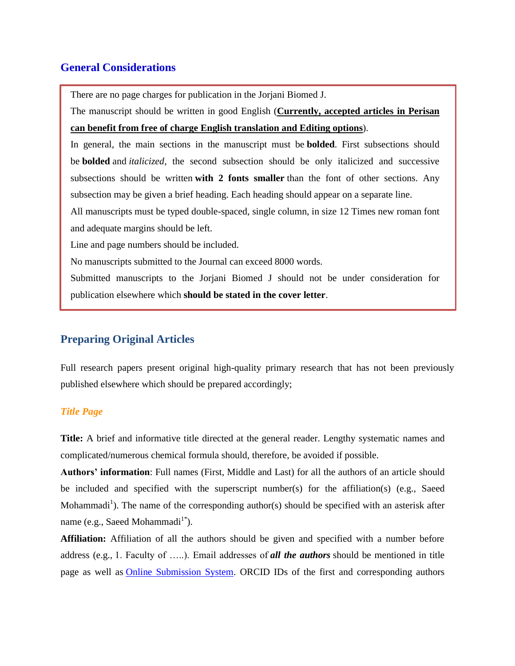# **General Considerations**

There are no page charges for publication in the Jorjani Biomed J.

 The manuscript should be written in good English (**Currently, accepted articles in Perisan can benefit from free of charge English translation and Editing options**).

 In general, the main sections in the manuscript must be **bolded**. First subsections should be **bolded** and *italicized*, the second subsection should be only italicized and successive subsections should be written **with 2 fonts smaller** than the font of other sections. Any subsection may be given a brief heading. Each heading should appear on a separate line.

 All manuscripts must be typed double-spaced, single column, in size 12 Times new roman font and adequate margins should be left.

Line and page numbers should be included.

No manuscripts submitted to the Journal can exceed 8000 words.

 Submitted manuscripts to the Jorjani Biomed J should not be under consideration for publication elsewhere which **should be stated in the cover letter**.

# **Preparing Original Articles**

Full research papers present original high-quality primary research that has not been previously published elsewhere which should be prepared accordingly;

# *Title Page*

**Title:** A brief and informative title directed at the general reader. Lengthy systematic names and complicated/numerous chemical formula should, therefore, be avoided if possible.

**Authors' information**: Full names (First, Middle and Last) for all the authors of an article should be included and specified with the superscript number(s) for the affiliation(s) (e.g., Saeed Mohammadi<sup>1</sup>). The name of the corresponding author(s) should be specified with an asterisk after name (e.g., Saeed Mohammadi<sup>1\*</sup>).

**Affiliation:** Affiliation of all the authors should be given and specified with a number before address (e.g., 1. Faculty of …..). Email addresses of *all the authors* should be mentioned in title page as well as **Online Submission System**. ORCID IDs of the first and corresponding authors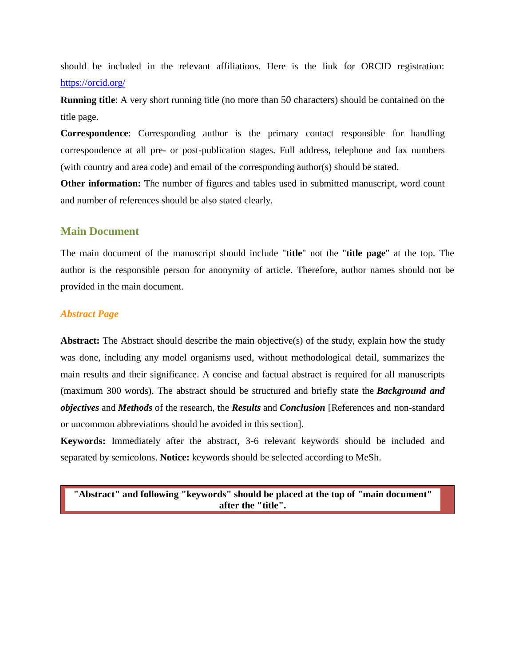should be included in the relevant affiliations. Here is the link for ORCID registration: <https://orcid.org/>

**Running title**: A very short running title (no more than 50 characters) should be contained on the title page.

**Correspondence**: Corresponding author is the primary contact responsible for handling correspondence at all pre- or post-publication stages. Full address, telephone and fax numbers (with country and area code) and email of the corresponding author(s) should be stated.

**Other information:** The number of figures and tables used in submitted manuscript, word count and number of references should be also stated clearly.

## **Main Document**

The main document of the manuscript should include "**title**" not the "**title page**" at the top. The author is the responsible person for anonymity of article. Therefore, author names should not be provided in the main document.

# *Abstract Page*

**Abstract:** The Abstract should describe the main objective(s) of the study, explain how the study was done, including any model organisms used, without methodological detail, summarizes the main results and their significance. A concise and factual abstract is required for all manuscripts (maximum 300 words). The abstract should be structured and briefly state the *Background and objectives* and *Methods* of the research, the *Results* and *Conclusion* [References and non-standard or uncommon abbreviations should be avoided in this section].

**Keywords:** Immediately after the abstract, 3-6 relevant keywords should be included and separated by semicolons. **Notice:** keywords should be selected according to MeSh.

**"Abstract" and following "keywords" should be placed at the top of "main document" after the "title".**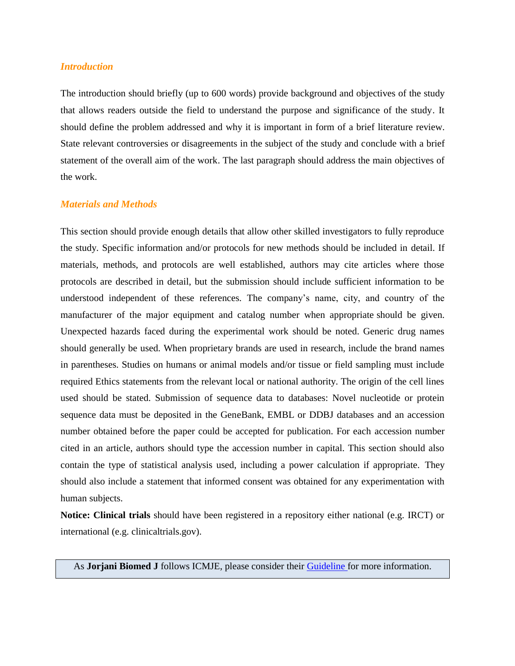#### *Introduction*

The introduction should briefly (up to 600 words) provide background and objectives of the study that allows readers outside the field to understand the purpose and significance of the study. It should define the problem addressed and why it is important in form of a brief literature review. State relevant controversies or disagreements in the subject of the study and conclude with a brief statement of the overall aim of the work. The last paragraph should address the main objectives of the work.

# *Materials and Methods*

This section should provide enough details that allow other skilled investigators to fully reproduce the study. Specific information and/or protocols for new methods should be included in detail. If materials, methods, and protocols are well established, authors may cite articles where those protocols are described in detail, but the submission should include sufficient information to be understood independent of these references. The company"s name, city, and country of the manufacturer of the major equipment and catalog number when appropriate should be given. Unexpected hazards faced during the experimental work should be noted. Generic drug names should generally be used. When proprietary brands are used in research, include the brand names in parentheses. Studies on humans or animal models and/or tissue or field sampling must include required Ethics statements from the relevant local or national authority. The origin of the cell lines used should be stated. Submission of sequence data to databases: Novel nucleotide or protein sequence data must be deposited in the GeneBank, EMBL or DDBJ databases and an accession number obtained before the paper could be accepted for publication. For each accession number cited in an article, authors should type the accession number in capital. This section should also contain the type of statistical analysis used, including a power calculation if appropriate. They should also include a statement that informed consent was obtained for any experimentation with human subjects.

**Notice: Clinical trials** should have been registered in a repository either national (e.g. IRCT) or international (e.g. clinicaltrials.gov).

As **Jorjani Biomed J** follows ICMJE, please consider their [Guideline](http://www.icmje.org/recommendations/) for more information.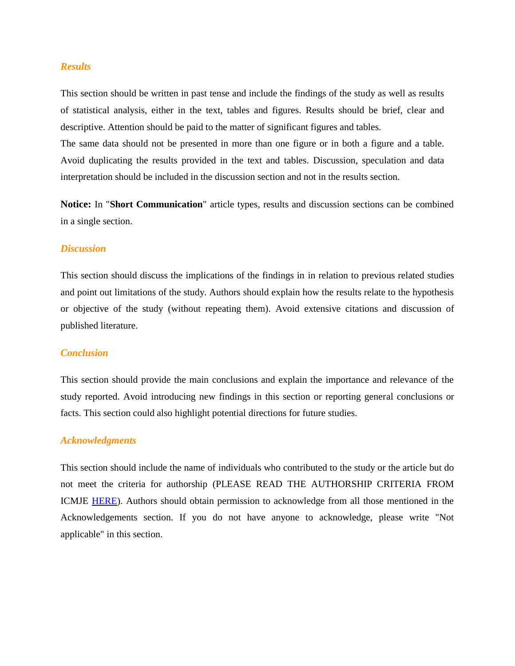#### *Results*

This section should be written in past tense and include the findings of the study as well as results of statistical analysis, either in the text, tables and figures. Results should be brief, clear and descriptive. Attention should be paid to the matter of significant figures and tables.

The same data should not be presented in more than one figure or in both a figure and a table. Avoid duplicating the results provided in the text and tables. Discussion, speculation and data interpretation should be included in the discussion section and not in the results section.

**Notice:** In "**Short Communication**" article types, results and discussion sections can be combined in a single section.

#### *Discussion*

This section should discuss the implications of the findings in in relation to previous related studies and point out limitations of the study. Authors should explain how the results relate to the hypothesis or objective of the study (without repeating them). Avoid extensive citations and discussion of published literature.

#### *Conclusion*

This section should provide the main conclusions and explain the importance and relevance of the study reported. Avoid introducing new findings in this section or reporting general conclusions or facts. This section could also highlight potential directions for future studies.

#### *Acknowledgments*

This section should include the name of individuals who contributed to the study or the article but do not meet the criteria for authorship (PLEASE READ THE AUTHORSHIP CRITERIA FROM ICMJE [HERE\)](http://www.icmje.org/recommendations/browse/roles-and-responsibilities/defining-the-role-of-authors-and-contributors.html). Authors should obtain permission to acknowledge from all those mentioned in the Acknowledgements section. If you do not have anyone to acknowledge, please write "Not applicable" in this section.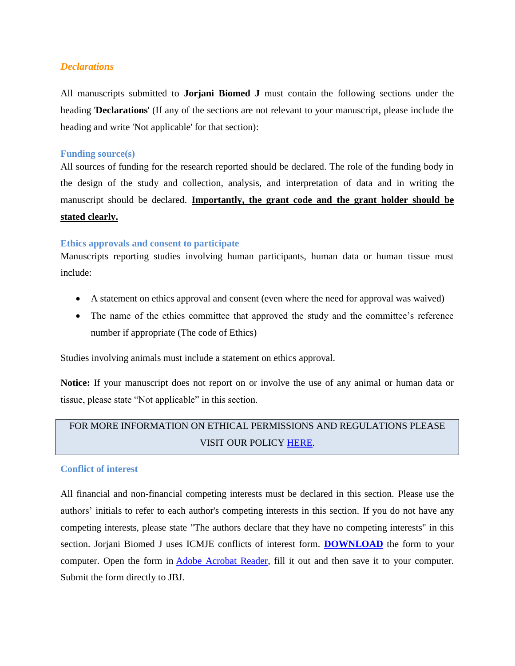### *Declarations*

All manuscripts submitted to **Jorjani Biomed J** must contain the following sections under the heading '**Declarations**' (If any of the sections are not relevant to your manuscript, please include the heading and write 'Not applicable' for that section):

#### **Funding source(s)**

All sources of funding for the research reported should be declared. The role of the funding body in the design of the study and collection, analysis, and interpretation of data and in writing the manuscript should be declared. **Importantly, the grant code and the grant holder should be stated clearly.** 

### **Ethics approvals and consent to participate**

Manuscripts reporting studies involving human participants, human data or human tissue must include:

- A statement on ethics approval and consent (even where the need for approval was waived)
- The name of the ethics committee that approved the study and the committee's reference number if appropriate (The code of Ethics)

Studies involving animals must include a statement on ethics approval.

**Notice:** If your manuscript does not report on or involve the use of any animal or human data or tissue, please state "Not applicable" in this section.

# FOR MORE INFORMATION ON ETHICAL PERMISSIONS AND REGULATIONS PLEASE VISIT OUR POLICY [HERE.](http://jorjanijournal.goums.ac.ir/page/138/Ethics-and-Permissions)

### **Conflict of interest**

All financial and non-financial competing interests must be declared in this section. Please use the authors" initials to refer to each author's competing interests in this section. If you do not have any competing interests, please state "The authors declare that they have no competing interests" in this section. Jorjani Biomed J uses ICMJE conflicts of interest form. **[DOWNLOAD](http://www.icmje.org/downloads/coi_disclosure.zip)** the form to your computer. Open the form in [Adobe Acrobat Reader,](http://www.adobe.com/prodindex/acrobat/readstep.html) fill it out and then save it to your computer. Submit the form directly to JBJ.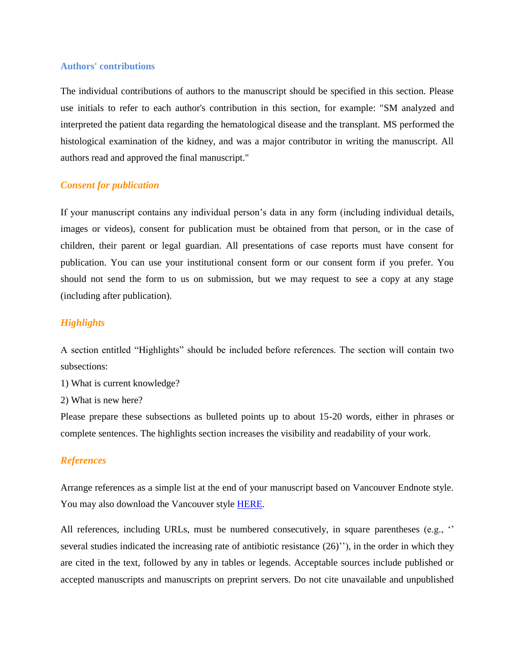#### **Authors' contributions**

The individual contributions of authors to the manuscript should be specified in this section. Please use initials to refer to each author's contribution in this section, for example: "SM analyzed and interpreted the patient data regarding the hematological disease and the transplant. MS performed the histological examination of the kidney, and was a major contributor in writing the manuscript. All authors read and approved the final manuscript."

#### *Consent for publication*

If your manuscript contains any individual person's data in any form (including individual details, images or videos), consent for publication must be obtained from that person, or in the case of children, their parent or legal guardian. All presentations of case reports must have consent for publication. You can use your institutional consent form or our consent form if you prefer. You should not send the form to us on submission, but we may request to see a copy at any stage (including after publication).

#### *Highlights*

A section entitled "Highlights" should be included before references. The section will contain two subsections:

1) What is current knowledge?

2) What is new here?

Please prepare these subsections as bulleted points up to about 15-20 words, either in phrases or complete sentences. The highlights section increases the visibility and readability of your work.

#### *References*

Arrange references as a simple list at the end of your manuscript based on Vancouver Endnote style. You may also download the Vancouver style [HERE.](https://endnote.com/style_download/vancouver/)

All references, including URLs, must be numbered consecutively, in square parentheses (e.g., " several studies indicated the increasing rate of antibiotic resistance  $(26)$ "), in the order in which they are cited in the text, followed by any in tables or legends. Acceptable sources include published or accepted manuscripts and manuscripts on preprint servers. Do not cite unavailable and unpublished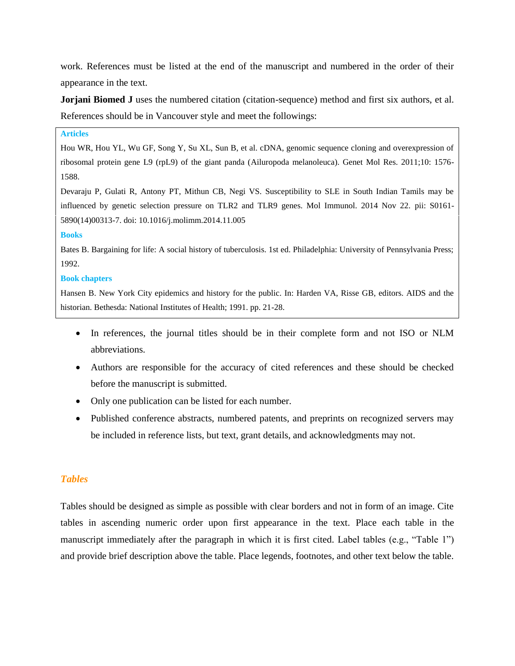work. References must be listed at the end of the manuscript and numbered in the order of their appearance in the text.

**Jorjani Biomed J** uses the numbered citation (citation-sequence) method and first six authors, et al. References should be in Vancouver style and meet the followings:

#### **Articles**

Hou WR, Hou YL, Wu GF, Song Y, Su XL, Sun B, et al. cDNA, genomic sequence cloning and overexpression of ribosomal protein gene L9 (rpL9) of the giant panda (Ailuropoda melanoleuca). Genet Mol Res. 2011;10: 1576- 1588.

Devaraju P, Gulati R, Antony PT, Mithun CB, Negi VS. Susceptibility to SLE in South Indian Tamils may be influenced by genetic selection pressure on TLR2 and TLR9 genes. Mol Immunol. 2014 Nov 22. pii: S0161- 5890(14)00313-7. doi: 10.1016/j.molimm.2014.11.005

#### **Books**

Bates B. Bargaining for life: A social history of tuberculosis. 1st ed. Philadelphia: University of Pennsylvania Press; 1992.

#### **Book chapters**

Hansen B. New York City epidemics and history for the public. In: Harden VA, Risse GB, editors. AIDS and the historian. Bethesda: National Institutes of Health; 1991. pp. 21-28.

- In references, the journal titles should be in their complete form and not ISO or NLM abbreviations.
- Authors are responsible for the accuracy of cited references and these should be checked before the manuscript is submitted.
- Only one publication can be listed for each number.
- Published conference abstracts, numbered patents, and preprints on recognized servers may be included in reference lists, but text, grant details, and acknowledgments may not.

### *Tables*

Tables should be designed as simple as possible with clear borders and not in form of an image. Cite tables in ascending numeric order upon first appearance in the text. Place each table in the manuscript immediately after the paragraph in which it is first cited. Label tables (e.g., "Table 1") and provide brief description above the table. Place legends, footnotes, and other text below the table.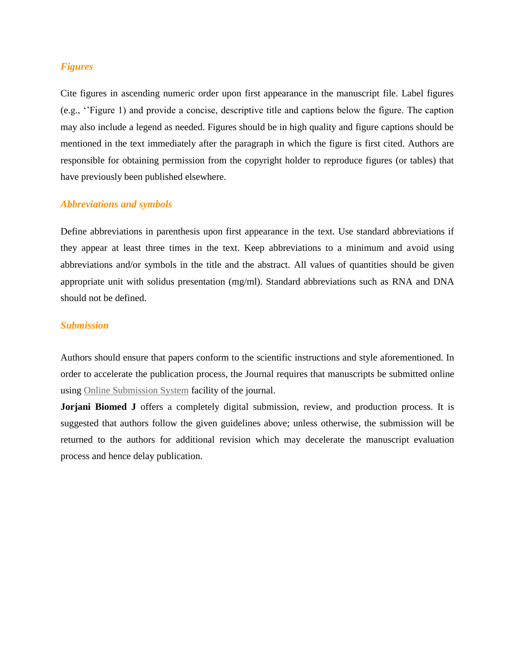#### *Figures*

Cite figures in ascending numeric order upon first appearance in the manuscript file. Label figures (e.g., ""Figure 1) and provide a concise, descriptive title and captions below the figure. The caption may also include a legend as needed. Figures should be in high quality and figure captions should be mentioned in the text immediately after the paragraph in which the figure is first cited. Authors are responsible for obtaining permission from the copyright holder to reproduce figures (or tables) that have previously been published elsewhere.

#### *Abbreviations and symbols*

Define abbreviations in parenthesis upon first appearance in the text. Use standard abbreviations if they appear at least three times in the text. Keep abbreviations to a minimum and avoid using abbreviations and/or symbols in the title and the abstract. All values of quantities should be given appropriate unit with solidus presentation (mg/ml). Standard abbreviations such as RNA and DNA should not be defined.

#### *Submission*

Authors should ensure that papers conform to the scientific instructions and style aforementioned. In order to accelerate the publication process, the Journal requires that manuscripts be submitted online using Online [Submission](http://goums.ac.ir/jorjanijournal/form_send_article.php?&slct_pg_id=22&sid=1&slc_lang=en) System facility of the journal.

**Jorjani Biomed J** offers a completely digital submission, review, and production process. It is suggested that authors follow the given guidelines above; unless otherwise, the submission will be returned to the authors for additional revision which may decelerate the manuscript evaluation process and hence delay publication.